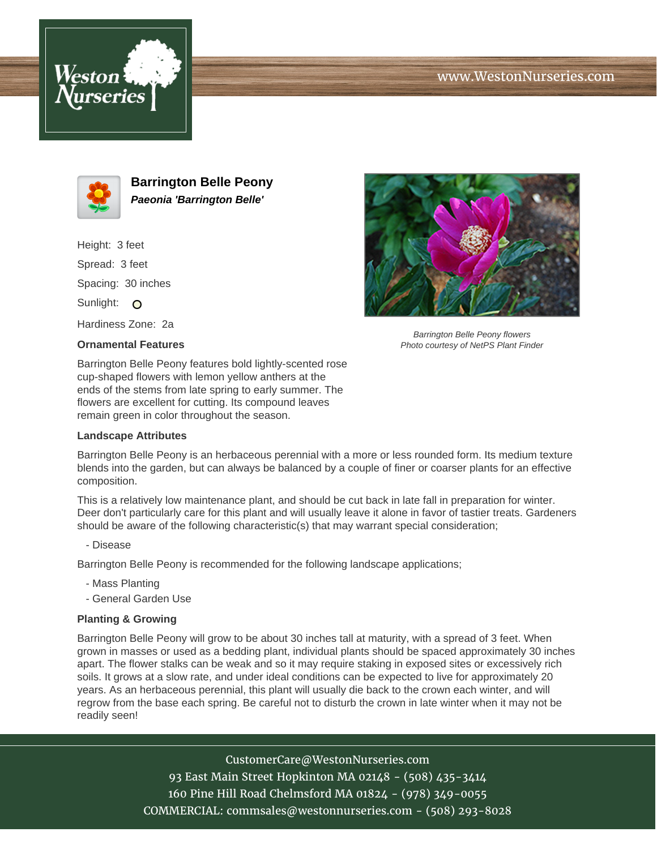





**Barrington Belle Peony Paeonia 'Barrington Belle'**

Height: 3 feet Spread: 3 feet Spacing: 30 inches Sunlight: O Hardiness Zone: 2a

**Ornamental Features**

Barrington Belle Peony flowers Photo courtesy of NetPS Plant Finder

Barrington Belle Peony features bold lightly-scented rose cup-shaped flowers with lemon yellow anthers at the ends of the stems from late spring to early summer. The flowers are excellent for cutting. Its compound leaves remain green in color throughout the season.

## **Landscape Attributes**

Barrington Belle Peony is an herbaceous perennial with a more or less rounded form. Its medium texture blends into the garden, but can always be balanced by a couple of finer or coarser plants for an effective composition.

This is a relatively low maintenance plant, and should be cut back in late fall in preparation for winter. Deer don't particularly care for this plant and will usually leave it alone in favor of tastier treats. Gardeners should be aware of the following characteristic(s) that may warrant special consideration;

- Disease

Barrington Belle Peony is recommended for the following landscape applications;

- Mass Planting
- General Garden Use

## **Planting & Growing**

Barrington Belle Peony will grow to be about 30 inches tall at maturity, with a spread of 3 feet. When grown in masses or used as a bedding plant, individual plants should be spaced approximately 30 inches apart. The flower stalks can be weak and so it may require staking in exposed sites or excessively rich soils. It grows at a slow rate, and under ideal conditions can be expected to live for approximately 20 years. As an herbaceous perennial, this plant will usually die back to the crown each winter, and will regrow from the base each spring. Be careful not to disturb the crown in late winter when it may not be readily seen!

> CustomerCare@WestonNurseries.com 93 East Main Street Hopkinton MA 02148 - (508) 435-3414 160 Pine Hill Road Chelmsford MA 01824 - (978) 349-0055 COMMERCIAL: commsales@westonnurseries.com - (508) 293-8028